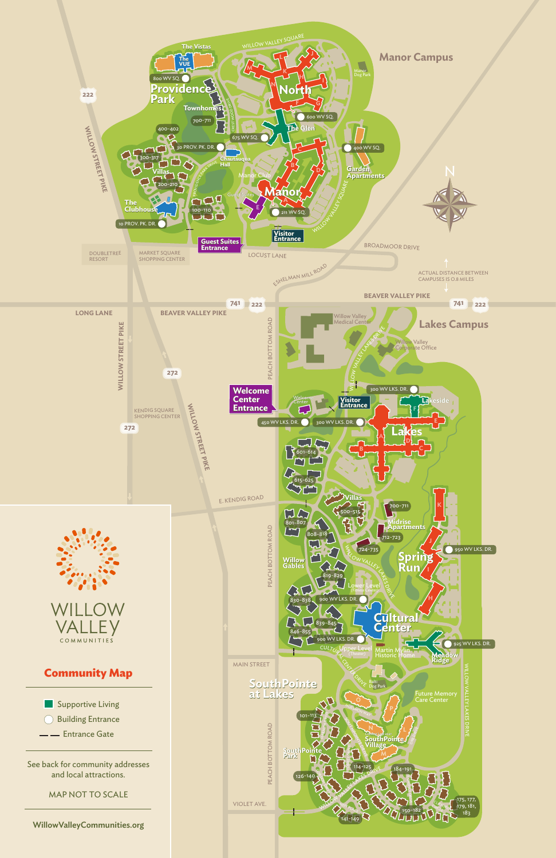